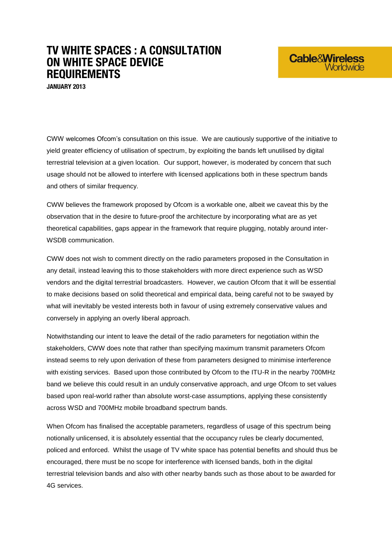## **TV WHITE SPACES : A CONSULTATION ON WHITE SPACE DEVICE REQUIREMENTS**

**JANUARY 2013**

CWW welcomes Ofcom's consultation on this issue. We are cautiously supportive of the initiative to yield greater efficiency of utilisation of spectrum, by exploiting the bands left unutilised by digital terrestrial television at a given location. Our support, however, is moderated by concern that such usage should not be allowed to interfere with licensed applications both in these spectrum bands and others of similar frequency.

**Cable&Wireless** 

CWW believes the framework proposed by Ofcom is a workable one, albeit we caveat this by the observation that in the desire to future-proof the architecture by incorporating what are as yet theoretical capabilities, gaps appear in the framework that require plugging, notably around inter-WSDB communication.

CWW does not wish to comment directly on the radio parameters proposed in the Consultation in any detail, instead leaving this to those stakeholders with more direct experience such as WSD vendors and the digital terrestrial broadcasters. However, we caution Ofcom that it will be essential to make decisions based on solid theoretical and empirical data, being careful not to be swayed by what will inevitably be vested interests both in favour of using extremely conservative values and conversely in applying an overly liberal approach.

Notwithstanding our intent to leave the detail of the radio parameters for negotiation within the stakeholders, CWW does note that rather than specifying maximum transmit parameters Ofcom instead seems to rely upon derivation of these from parameters designed to minimise interference with existing services. Based upon those contributed by Ofcom to the ITU-R in the nearby 700MHz band we believe this could result in an unduly conservative approach, and urge Ofcom to set values based upon real-world rather than absolute worst-case assumptions, applying these consistently across WSD and 700MHz mobile broadband spectrum bands.

When Ofcom has finalised the acceptable parameters, regardless of usage of this spectrum being notionally unlicensed, it is absolutely essential that the occupancy rules be clearly documented, policed and enforced. Whilst the usage of TV white space has potential benefits and should thus be encouraged, there must be no scope for interference with licensed bands, both in the digital terrestrial television bands and also with other nearby bands such as those about to be awarded for 4G services.